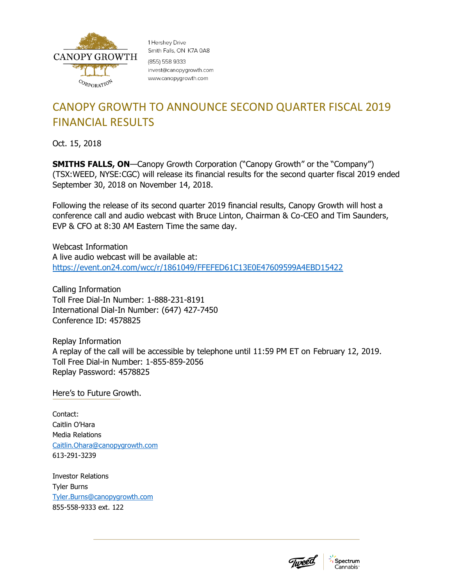

1 Hershey Drive Smith Falls, ON K7A 0A8 (855) 558 9333 invest@canopygrowth.com www.canopygrowth.com

## CANOPY GROWTH TO ANNOUNCE SECOND QUARTER FISCAL 2019 FINANCIAL RESULTS

Oct. 15, 2018

**SMITHS FALLS, ON**—Canopy Growth Corporation ("Canopy Growth" or the "Company") (TSX:WEED, NYSE:CGC) will release its financial results for the second quarter fiscal 2019 ended September 30, 2018 on November 14, 2018.

Following the release of its second quarter 2019 financial results, Canopy Growth will host a conference call and audio webcast with Bruce Linton, Chairman & Co-CEO and Tim Saunders, EVP & CFO at 8:30 AM Eastern Time the same day.

Webcast Information A live audio webcast will be available at: <https://event.on24.com/wcc/r/1861049/FFEFED61C13E0E47609599A4EBD15422>

Calling Information Toll Free Dial-In Number: 1-888-231-8191 International Dial-In Number: (647) 427-7450 Conference ID: 4578825

Replay Information A replay of the call will be accessible by telephone until 11:59 PM ET on February 12, 2019. Toll Free Dial-in Number: 1-855-859-2056 Replay Password: 4578825

Here's to Future Growth.

Contact: Caitlin O'Hara Media Relations [Caitlin.Ohara@canopygrowth.com](mailto:Caitlin.Ohara@canopygrowth.com) 613-291-3239

Investor Relations Tyler Burns [Tyler.Burns@canopygrowth.com](mailto:Tyler.Burns@canopygrowth.com) 855-558-9333 ext. 122